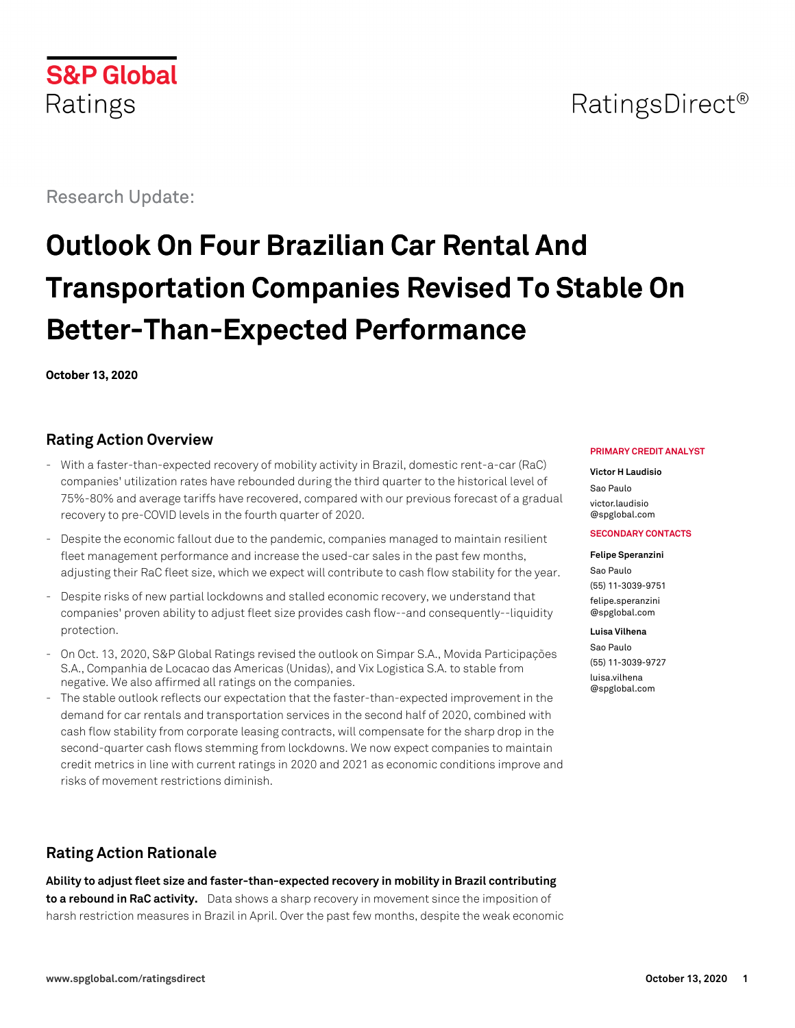

## RatingsDirect<sup>®</sup>

Research Update:

# **Outlook On Four Brazilian Car Rental And Transportation Companies Revised To Stable On Better-Than-Expected Performance**

**October 13, 2020**

## **Rating Action Overview**

- With a faster-than-expected recovery of mobility activity in Brazil, domestic rent-a-car (RaC) companies' utilization rates have rebounded during the third quarter to the historical level of 75%-80% and average tariffs have recovered, compared with our previous forecast of a gradual recovery to pre-COVID levels in the fourth quarter of 2020.
- Despite the economic fallout due to the pandemic, companies managed to maintain resilient fleet management performance and increase the used-car sales in the past few months, adjusting their RaC fleet size, which we expect will contribute to cash flow stability for the year.
- Despite risks of new partial lockdowns and stalled economic recovery, we understand that companies' proven ability to adjust fleet size provides cash flow--and consequently--liquidity protection.
- On Oct. 13, 2020, S&P Global Ratings revised the outlook on Simpar S.A., Movida Participações S.A., Companhia de Locacao das Americas (Unidas), and Vix Logistica S.A. to stable from negative. We also affirmed all ratings on the companies.
- The stable outlook reflects our expectation that the faster-than-expected improvement in the demand for car rentals and transportation services in the second half of 2020, combined with cash flow stability from corporate leasing contracts, will compensate for the sharp drop in the second-quarter cash flows stemming from lockdowns. We now expect companies to maintain credit metrics in line with current ratings in 2020 and 2021 as economic conditions improve and risks of movement restrictions diminish.

## **Rating Action Rationale**

**Ability to adjust fleet size and faster-than-expected recovery in mobility in Brazil contributing to a rebound in RaC activity.** Data shows a sharp recovery in movement since the imposition of harsh restriction measures in Brazil in April. Over the past few months, despite the weak economic

#### **PRIMARY CREDIT ANALYST**

**Victor H Laudisio** Sao Paulo [victor.laudisio](mailto:victor.laudisio@spglobal.com) [@spglobal.com](mailto:victor.laudisio@spglobal.com)

#### **SECONDARY CONTACTS**

**Felipe Speranzini**

Sao Paulo (55) 11-3039-9751 [felipe.speranzini](mailto:felipe.speranzini@spglobal.com) [@spglobal.com](mailto:felipe.speranzini@spglobal.com)

#### **Luisa Vilhena**

Sao Paulo (55) 11-3039-9727 [luisa.vilhena](mailto:luisa.vilhena@spglobal.com) [@spglobal.com](mailto:luisa.vilhena@spglobal.com)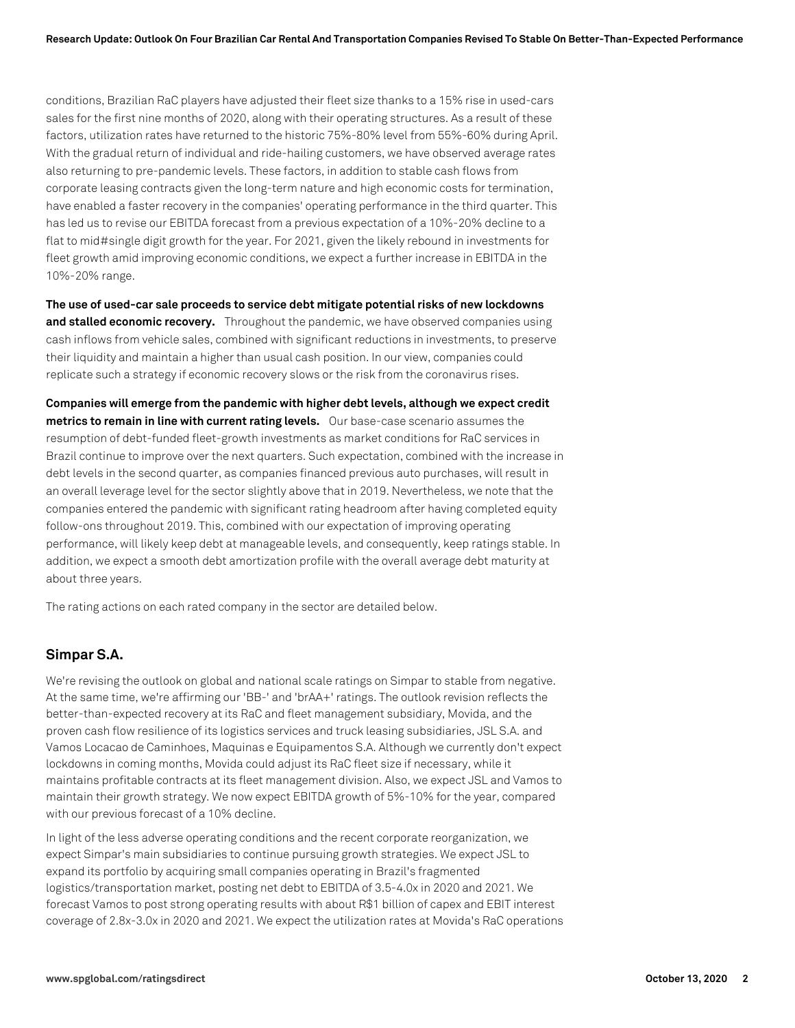conditions, Brazilian RaC players have adjusted their fleet size thanks to a 15% rise in used-cars sales for the first nine months of 2020, along with their operating structures. As a result of these factors, utilization rates have returned to the historic 75%-80% level from 55%-60% during April. With the gradual return of individual and ride-hailing customers, we have observed average rates also returning to pre-pandemic levels. These factors, in addition to stable cash flows from corporate leasing contracts given the long-term nature and high economic costs for termination, have enabled a faster recovery in the companies' operating performance in the third quarter. This has led us to revise our EBITDA forecast from a previous expectation of a 10%-20% decline to a flat to mid#single digit growth for the year. For 2021, given the likely rebound in investments for fleet growth amid improving economic conditions, we expect a further increase in EBITDA in the 10%-20% range.

**The use of used-car sale proceeds to service debt mitigate potential risks of new lockdowns and stalled economic recovery.** Throughout the pandemic, we have observed companies using cash inflows from vehicle sales, combined with significant reductions in investments, to preserve their liquidity and maintain a higher than usual cash position. In our view, companies could replicate such a strategy if economic recovery slows or the risk from the coronavirus rises.

**Companies will emerge from the pandemic with higher debt levels, although we expect credit metrics to remain in line with current rating levels.** Our base-case scenario assumes the resumption of debt-funded fleet-growth investments as market conditions for RaC services in Brazil continue to improve over the next quarters. Such expectation, combined with the increase in debt levels in the second quarter, as companies financed previous auto purchases, will result in an overall leverage level for the sector slightly above that in 2019. Nevertheless, we note that the companies entered the pandemic with significant rating headroom after having completed equity follow-ons throughout 2019. This, combined with our expectation of improving operating performance, will likely keep debt at manageable levels, and consequently, keep ratings stable. In addition, we expect a smooth debt amortization profile with the overall average debt maturity at about three years.

The rating actions on each rated company in the sector are detailed below.

#### **Simpar S.A.**

We're revising the outlook on global and national scale ratings on Simpar to stable from negative. At the same time, we're affirming our 'BB-' and 'brAA+' ratings. The outlook revision reflects the better-than-expected recovery at its RaC and fleet management subsidiary, Movida, and the proven cash flow resilience of its logistics services and truck leasing subsidiaries, JSL S.A. and Vamos Locacao de Caminhoes, Maquinas e Equipamentos S.A. Although we currently don't expect lockdowns in coming months, Movida could adjust its RaC fleet size if necessary, while it maintains profitable contracts at its fleet management division. Also, we expect JSL and Vamos to maintain their growth strategy. We now expect EBITDA growth of 5%-10% for the year, compared with our previous forecast of a 10% decline.

In light of the less adverse operating conditions and the recent corporate reorganization, we expect Simpar's main subsidiaries to continue pursuing growth strategies. We expect JSL to expand its portfolio by acquiring small companies operating in Brazil's fragmented logistics/transportation market, posting net debt to EBITDA of 3.5-4.0x in 2020 and 2021. We forecast Vamos to post strong operating results with about R\$1 billion of capex and EBIT interest coverage of 2.8x-3.0x in 2020 and 2021. We expect the utilization rates at Movida's RaC operations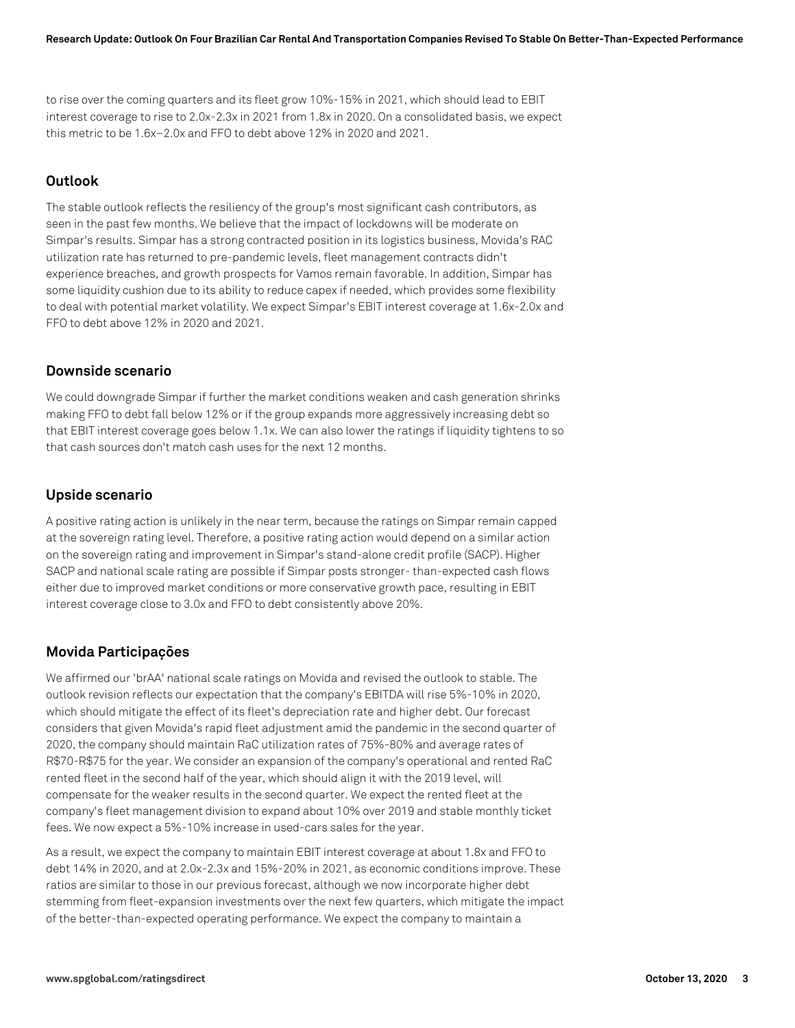to rise over the coming quarters and its fleet grow 10%-15% in 2021, which should lead to EBIT interest coverage to rise to 2.0x-2.3x in 2021 from 1.8x in 2020. On a consolidated basis, we expect this metric to be 1.6x–2.0x and FFO to debt above 12% in 2020 and 2021.

#### **Outlook**

The stable outlook reflects the resiliency of the group's most significant cash contributors, as seen in the past few months. We believe that the impact of lockdowns will be moderate on Simpar's results. Simpar has a strong contracted position in its logistics business, Movida's RAC utilization rate has returned to pre-pandemic levels, fleet management contracts didn't experience breaches, and growth prospects for Vamos remain favorable. In addition, Simpar has some liquidity cushion due to its ability to reduce capex if needed, which provides some flexibility to deal with potential market volatility. We expect Simpar's EBIT interest coverage at 1.6x-2.0x and FFO to debt above 12% in 2020 and 2021.

#### **Downside scenario**

We could downgrade Simpar if further the market conditions weaken and cash generation shrinks making FFO to debt fall below 12% or if the group expands more aggressively increasing debt so that EBIT interest coverage goes below 1.1x. We can also lower the ratings if liquidity tightens to so that cash sources don't match cash uses for the next 12 months.

#### **Upside scenario**

A positive rating action is unlikely in the near term, because the ratings on Simpar remain capped at the sovereign rating level. Therefore, a positive rating action would depend on a similar action on the sovereign rating and improvement in Simpar's stand-alone credit profile (SACP). Higher SACP and national scale rating are possible if Simpar posts stronger- than-expected cash flows either due to improved market conditions or more conservative growth pace, resulting in EBIT interest coverage close to 3.0x and FFO to debt consistently above 20%.

#### **Movida Participações**

We affirmed our 'brAA' national scale ratings on Movida and revised the outlook to stable. The outlook revision reflects our expectation that the company's EBITDA will rise 5%-10% in 2020, which should mitigate the effect of its fleet's depreciation rate and higher debt. Our forecast considers that given Movida's rapid fleet adjustment amid the pandemic in the second quarter of 2020, the company should maintain RaC utilization rates of 75%-80% and average rates of R\$70-R\$75 for the year. We consider an expansion of the company's operational and rented RaC rented fleet in the second half of the year, which should align it with the 2019 level, will compensate for the weaker results in the second quarter. We expect the rented fleet at the company's fleet management division to expand about 10% over 2019 and stable monthly ticket fees. We now expect a 5%-10% increase in used-cars sales for the year.

As a result, we expect the company to maintain EBIT interest coverage at about 1.8x and FFO to debt 14% in 2020, and at 2.0x-2.3x and 15%-20% in 2021, as economic conditions improve. These ratios are similar to those in our previous forecast, although we now incorporate higher debt stemming from fleet-expansion investments over the next few quarters, which mitigate the impact of the better-than-expected operating performance. We expect the company to maintain a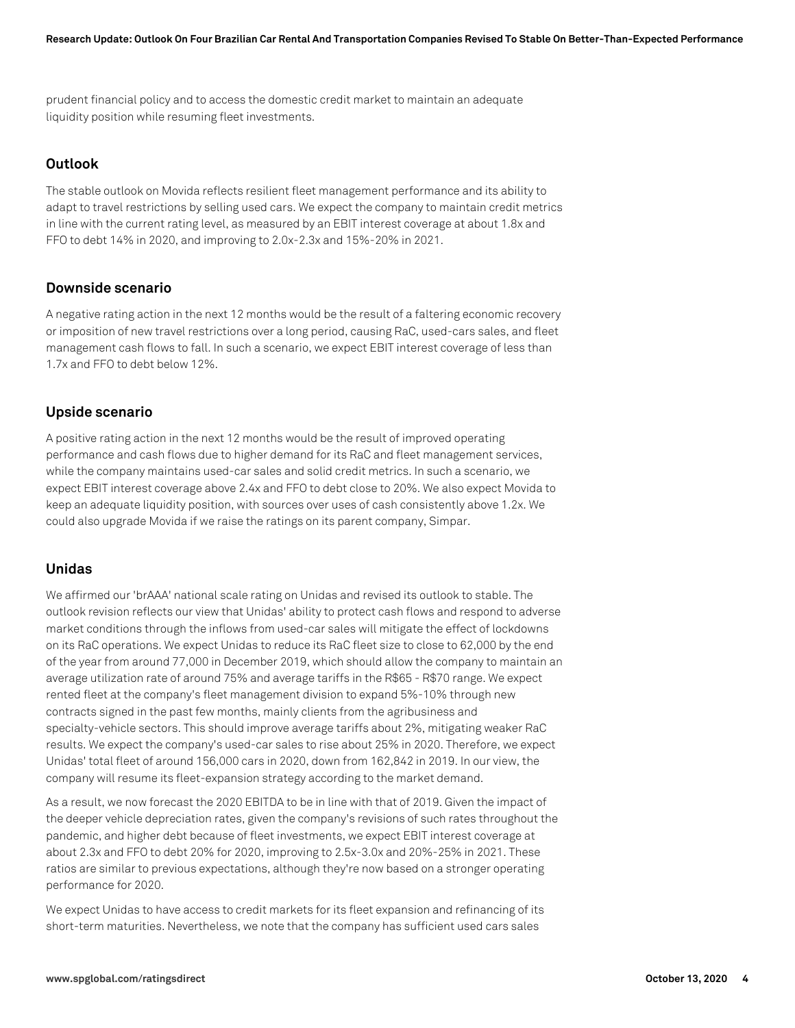prudent financial policy and to access the domestic credit market to maintain an adequate liquidity position while resuming fleet investments.

#### **Outlook**

The stable outlook on Movida reflects resilient fleet management performance and its ability to adapt to travel restrictions by selling used cars. We expect the company to maintain credit metrics in line with the current rating level, as measured by an EBIT interest coverage at about 1.8x and FFO to debt 14% in 2020, and improving to 2.0x-2.3x and 15%-20% in 2021.

#### **Downside scenario**

A negative rating action in the next 12 months would be the result of a faltering economic recovery or imposition of new travel restrictions over a long period, causing RaC, used-cars sales, and fleet management cash flows to fall. In such a scenario, we expect EBIT interest coverage of less than 1.7x and FFO to debt below 12%.

### **Upside scenario**

A positive rating action in the next 12 months would be the result of improved operating performance and cash flows due to higher demand for its RaC and fleet management services, while the company maintains used-car sales and solid credit metrics. In such a scenario, we expect EBIT interest coverage above 2.4x and FFO to debt close to 20%. We also expect Movida to keep an adequate liquidity position, with sources over uses of cash consistently above 1.2x. We could also upgrade Movida if we raise the ratings on its parent company, Simpar.

#### **Unidas**

We affirmed our 'brAAA' national scale rating on Unidas and revised its outlook to stable. The outlook revision reflects our view that Unidas' ability to protect cash flows and respond to adverse market conditions through the inflows from used-car sales will mitigate the effect of lockdowns on its RaC operations. We expect Unidas to reduce its RaC fleet size to close to 62,000 by the end of the year from around 77,000 in December 2019, which should allow the company to maintain an average utilization rate of around 75% and average tariffs in the R\$65 - R\$70 range. We expect rented fleet at the company's fleet management division to expand 5%-10% through new contracts signed in the past few months, mainly clients from the agribusiness and specialty-vehicle sectors. This should improve average tariffs about 2%, mitigating weaker RaC results. We expect the company's used-car sales to rise about 25% in 2020. Therefore, we expect Unidas' total fleet of around 156,000 cars in 2020, down from 162,842 in 2019. In our view, the company will resume its fleet-expansion strategy according to the market demand.

As a result, we now forecast the 2020 EBITDA to be in line with that of 2019. Given the impact of the deeper vehicle depreciation rates, given the company's revisions of such rates throughout the pandemic, and higher debt because of fleet investments, we expect EBIT interest coverage at about 2.3x and FFO to debt 20% for 2020, improving to 2.5x-3.0x and 20%-25% in 2021. These ratios are similar to previous expectations, although they're now based on a stronger operating performance for 2020.

We expect Unidas to have access to credit markets for its fleet expansion and refinancing of its short-term maturities. Nevertheless, we note that the company has sufficient used cars sales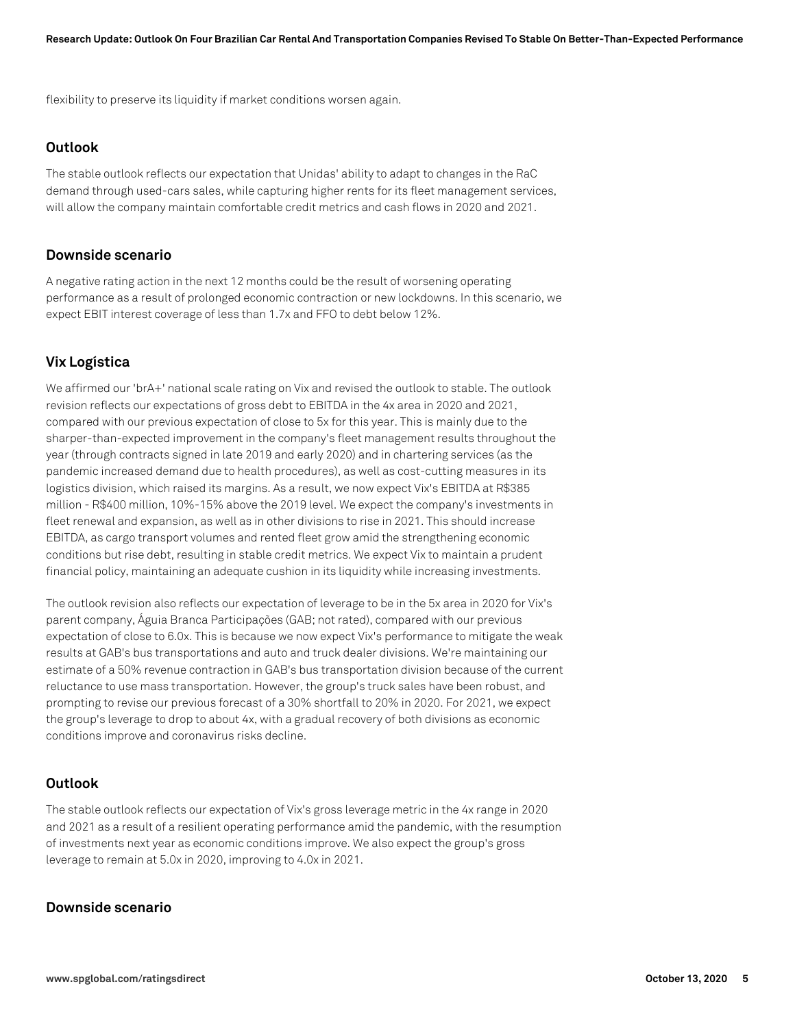flexibility to preserve its liquidity if market conditions worsen again.

#### **Outlook**

The stable outlook reflects our expectation that Unidas' ability to adapt to changes in the RaC demand through used-cars sales, while capturing higher rents for its fleet management services, will allow the company maintain comfortable credit metrics and cash flows in 2020 and 2021.

#### **Downside scenario**

A negative rating action in the next 12 months could be the result of worsening operating performance as a result of prolonged economic contraction or new lockdowns. In this scenario, we expect EBIT interest coverage of less than 1.7x and FFO to debt below 12%.

### **Vix Logística**

We affirmed our 'brA+' national scale rating on Vix and revised the outlook to stable. The outlook revision reflects our expectations of gross debt to EBITDA in the 4x area in 2020 and 2021, compared with our previous expectation of close to 5x for this year. This is mainly due to the sharper-than-expected improvement in the company's fleet management results throughout the year (through contracts signed in late 2019 and early 2020) and in chartering services (as the pandemic increased demand due to health procedures), as well as cost-cutting measures in its logistics division, which raised its margins. As a result, we now expect Vix's EBITDA at R\$385 million - R\$400 million, 10%-15% above the 2019 level. We expect the company's investments in fleet renewal and expansion, as well as in other divisions to rise in 2021. This should increase EBITDA, as cargo transport volumes and rented fleet grow amid the strengthening economic conditions but rise debt, resulting in stable credit metrics. We expect Vix to maintain a prudent financial policy, maintaining an adequate cushion in its liquidity while increasing investments.

The outlook revision also reflects our expectation of leverage to be in the 5x area in 2020 for Vix's parent company, Águia Branca Participações (GAB; not rated), compared with our previous expectation of close to 6.0x. This is because we now expect Vix's performance to mitigate the weak results at GAB's bus transportations and auto and truck dealer divisions. We're maintaining our estimate of a 50% revenue contraction in GAB's bus transportation division because of the current reluctance to use mass transportation. However, the group's truck sales have been robust, and prompting to revise our previous forecast of a 30% shortfall to 20% in 2020. For 2021, we expect the group's leverage to drop to about 4x, with a gradual recovery of both divisions as economic conditions improve and coronavirus risks decline.

#### **Outlook**

The stable outlook reflects our expectation of Vix's gross leverage metric in the 4x range in 2020 and 2021 as a result of a resilient operating performance amid the pandemic, with the resumption of investments next year as economic conditions improve. We also expect the group's gross leverage to remain at 5.0x in 2020, improving to 4.0x in 2021.

#### **Downside scenario**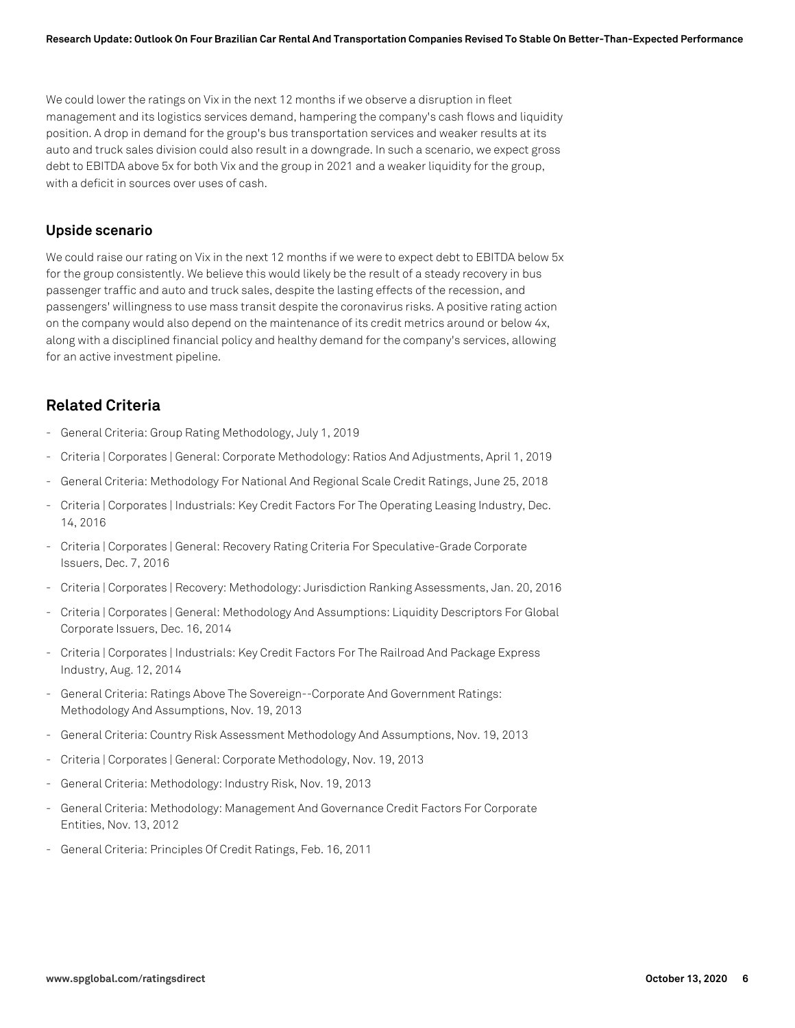We could lower the ratings on Vix in the next 12 months if we observe a disruption in fleet management and its logistics services demand, hampering the company's cash flows and liquidity position. A drop in demand for the group's bus transportation services and weaker results at its auto and truck sales division could also result in a downgrade. In such a scenario, we expect gross debt to EBITDA above 5x for both Vix and the group in 2021 and a weaker liquidity for the group, with a deficit in sources over uses of cash.

#### **Upside scenario**

We could raise our rating on Vix in the next 12 months if we were to expect debt to EBITDA below 5x for the group consistently. We believe this would likely be the result of a steady recovery in bus passenger traffic and auto and truck sales, despite the lasting effects of the recession, and passengers' willingness to use mass transit despite the coronavirus risks. A positive rating action on the company would also depend on the maintenance of its credit metrics around or below 4x, along with a disciplined financial policy and healthy demand for the company's services, allowing for an active investment pipeline.

## **Related Criteria**

- General Criteria: Group Rating Methodology, July 1, 2019
- Criteria | Corporates | General: Corporate Methodology: Ratios And Adjustments, April 1, 2019
- General Criteria: Methodology For National And Regional Scale Credit Ratings, June 25, 2018
- Criteria | Corporates | Industrials: Key Credit Factors For The Operating Leasing Industry, Dec. 14, 2016
- Criteria | Corporates | General: Recovery Rating Criteria For Speculative-Grade Corporate Issuers, Dec. 7, 2016
- Criteria | Corporates | Recovery: Methodology: Jurisdiction Ranking Assessments, Jan. 20, 2016
- Criteria | Corporates | General: Methodology And Assumptions: Liquidity Descriptors For Global Corporate Issuers, Dec. 16, 2014
- Criteria | Corporates | Industrials: Key Credit Factors For The Railroad And Package Express Industry, Aug. 12, 2014
- General Criteria: Ratings Above The Sovereign--Corporate And Government Ratings: Methodology And Assumptions, Nov. 19, 2013
- General Criteria: Country Risk Assessment Methodology And Assumptions, Nov. 19, 2013
- Criteria | Corporates | General: Corporate Methodology, Nov. 19, 2013
- General Criteria: Methodology: Industry Risk, Nov. 19, 2013
- General Criteria: Methodology: Management And Governance Credit Factors For Corporate Entities, Nov. 13, 2012
- General Criteria: Principles Of Credit Ratings, Feb. 16, 2011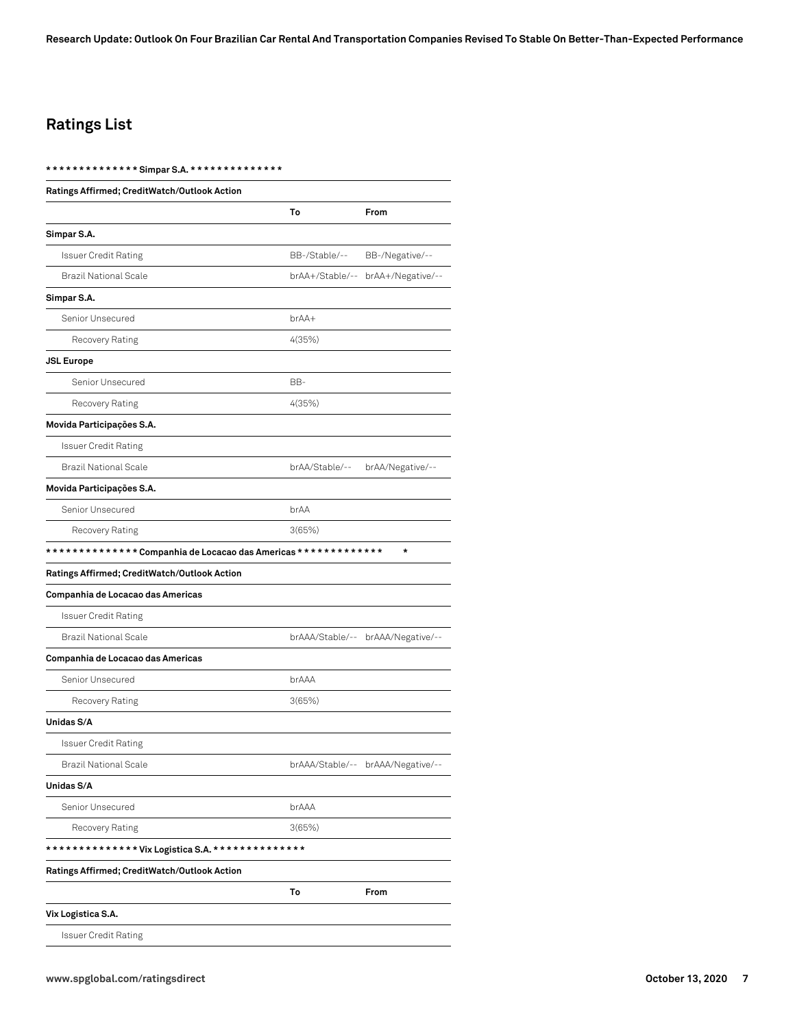**Research Update: Outlook On Four Brazilian Car Rental And Transportation Companies Revised To Stable On Better-Than-Expected Performance**

## **Ratings List**

#### **\* \* \* \* \* \* \* \* \* \* \* \* \* \* Simpar S.A. \* \* \* \* \* \* \* \* \* \* \* \* \* \***

| Ratings Affirmed; CreditWatch/Outlook Action                   |                |                                   |
|----------------------------------------------------------------|----------------|-----------------------------------|
|                                                                | To             | From                              |
| Simpar S.A.                                                    |                |                                   |
| <b>Issuer Credit Rating</b>                                    | BB-/Stable/--  | BB-/Negative/--                   |
| Brazil National Scale                                          |                | brAA+/Stable/-- brAA+/Negative/-- |
| Simpar S.A.                                                    |                |                                   |
| Senior Unsecured                                               | brAA+          |                                   |
| Recovery Rating                                                | 4(35%)         |                                   |
| <b>JSL Europe</b>                                              |                |                                   |
| Senior Unsecured                                               | BB-            |                                   |
| Recovery Rating                                                | 4(35%)         |                                   |
| Movida Participações S.A.                                      |                |                                   |
| <b>Issuer Credit Rating</b>                                    |                |                                   |
| Brazil National Scale                                          | brAA/Stable/-- | brAA/Negative/--                  |
| Movida Participações S.A.                                      |                |                                   |
| Senior Unsecured                                               | brAA           |                                   |
| Recovery Rating                                                | 3(65%)         |                                   |
| ************** Companhia de Locacao das Americas ************* |                | $\star$                           |
| Ratings Affirmed; CreditWatch/Outlook Action                   |                |                                   |
| Companhia de Locacao das Americas                              |                |                                   |
| <b>Issuer Credit Rating</b>                                    |                |                                   |
| <b>Brazil National Scale</b>                                   |                | brAAA/Stable/-- brAAA/Negative/-- |
| Companhia de Locacao das Americas                              |                |                                   |
| Senior Unsecured                                               | brAAA          |                                   |
| Recovery Rating                                                | 3(65%)         |                                   |
| Unidas S/A                                                     |                |                                   |
| Issuer Credit Rating                                           |                |                                   |
| <b>Brazil National Scale</b>                                   |                | brAAA/Stable/-- brAAA/Negative/-  |
| Unidas S/A                                                     |                |                                   |
| Senior Unsecured                                               | brAAA          |                                   |
| Recovery Rating                                                | 3(65%)         |                                   |
| *************Vix Logistica S.A. ***************                |                |                                   |
| Ratings Affirmed; CreditWatch/Outlook Action                   |                |                                   |
|                                                                | To             | From                              |
| Vix Logistica S.A.                                             |                |                                   |
| <b>Issuer Credit Rating</b>                                    |                |                                   |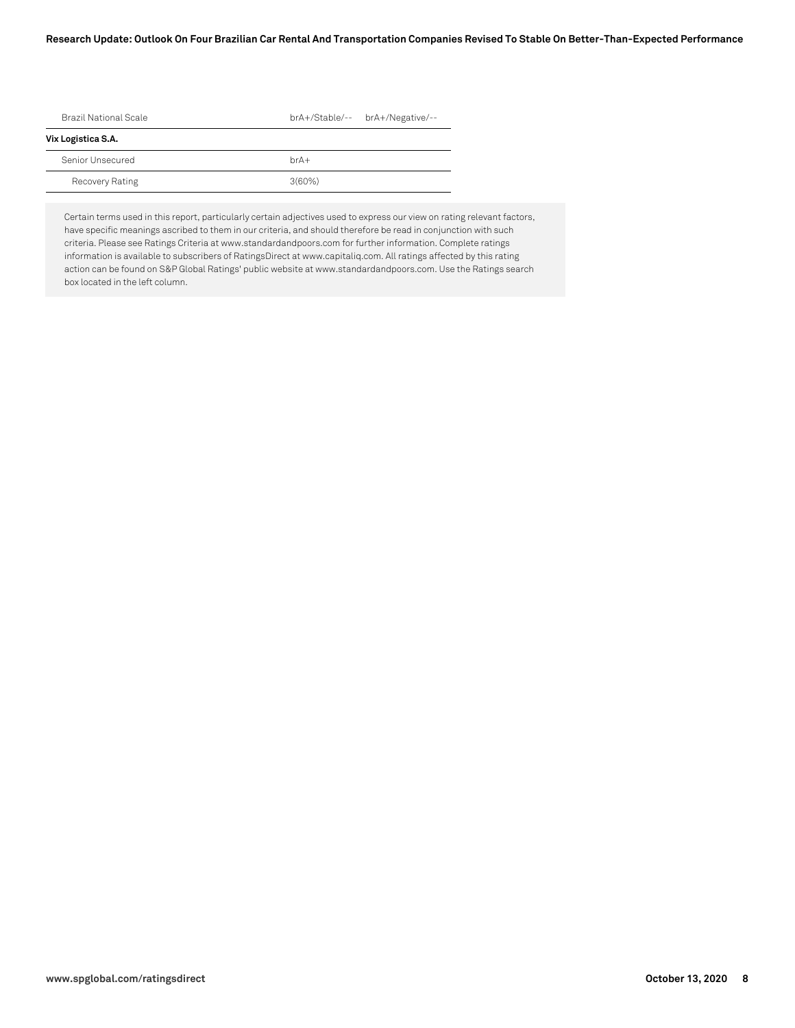#### **Research Update: Outlook On Four Brazilian Car Rental And Transportation Companies Revised To Stable On Better-Than-Expected Performance**

| Brazil National Scale | brA+/Stable/-- brA+/Negative/-- |
|-----------------------|---------------------------------|
| Vix Logistica S.A.    |                                 |
| Senior Unsecured      | $hrA+$                          |
| Recovery Rating       | $3(60\%)$                       |

Certain terms used in this report, particularly certain adjectives used to express our view on rating relevant factors, have specific meanings ascribed to them in our criteria, and should therefore be read in conjunction with such criteria. Please see Ratings Criteria at www.standardandpoors.com for further information. Complete ratings information is available to subscribers of RatingsDirect at www.capitaliq.com. All ratings affected by this rating action can be found on S&P Global Ratings' public website at www.standardandpoors.com. Use the Ratings search box located in the left column.